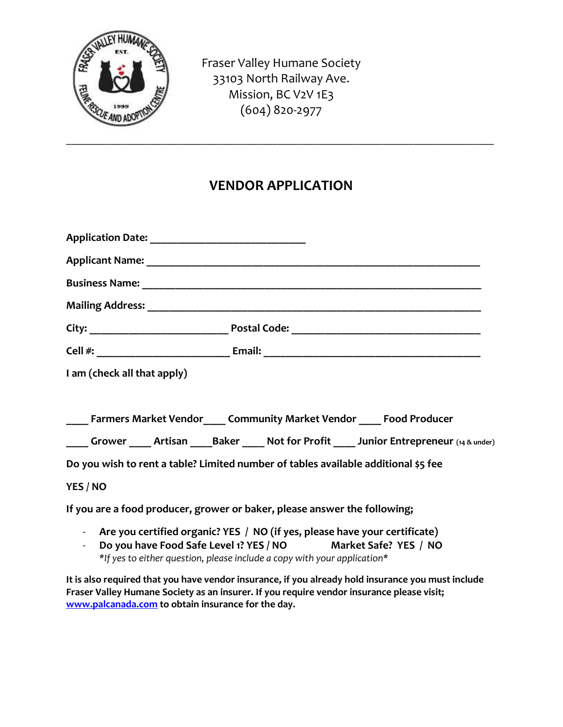

Fraser Valley Humane Society 33103 North Railway Ave. Mission, BC V2V 1E3 (604) 820-2977

## **VENDOR APPLICATION**

\_\_\_\_\_\_\_\_\_\_\_\_\_\_\_\_\_\_\_\_\_\_\_\_\_\_\_\_\_\_\_\_\_\_\_\_\_\_\_\_\_\_\_\_\_\_\_\_\_\_\_\_\_\_\_\_\_\_\_\_\_\_\_\_\_\_\_\_\_\_\_\_\_\_\_\_\_\_\_\_\_\_\_\_\_

| I am (check all that apply) |                                                                                                                                                |
|-----------------------------|------------------------------------------------------------------------------------------------------------------------------------------------|
|                             |                                                                                                                                                |
|                             | ____ Farmers Market Vendor____ Community Market Vendor ____ Food Producer                                                                      |
|                             | Grower Artisan Baker Not for Profit Junior Entrepreneur (14 & under)                                                                           |
|                             | Do you wish to rent a table? Limited number of tables available additional \$5 fee                                                             |
| YES / NO                    |                                                                                                                                                |
|                             | If you are a food producer, grower or baker, please answer the following;                                                                      |
|                             | - Are you certified organic? YES / NO (if yes, please have your certificate)<br>De var have Feed Cafe Loyal 42 VEC / NO Market Cafe 2 VEC / NO |

- **Do you have Food Safe Level 1? YES / NO Market Safe? YES / NO** *\*If yes to either question, please include a copy with your application\**

**It is also required that you have vendor insurance, if you already hold insurance you must include Fraser Valley Humane Society as an insurer. If you require vendor insurance please visit; [www.palcanada.com](http://www.palcanada.com/) to obtain insurance for the day.**